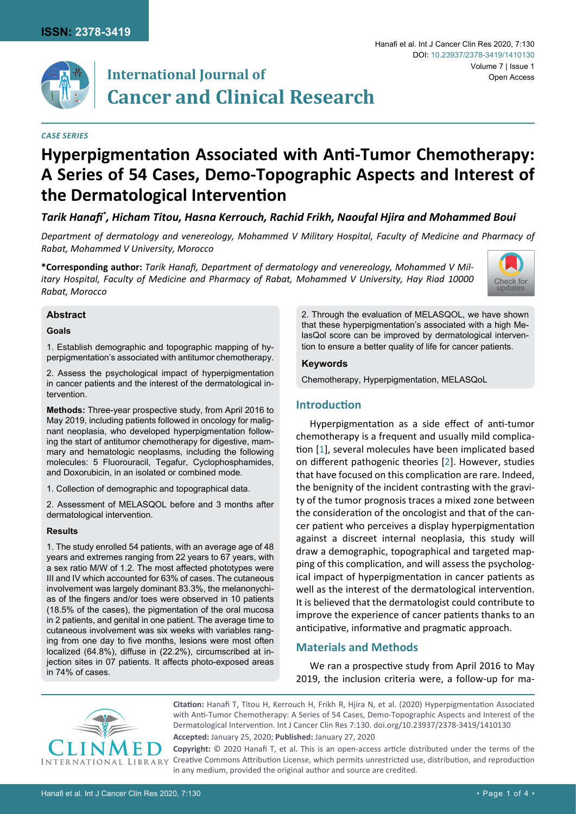

# **International Journal of Cancer and Clinical Research**

#### *Case SERIES*

#### Hanafi et al. Int J Cancer Clin Res 2020, 7:130 Volume 7 | Issue 1 DOI: [10.23937/2378-3419/1410130](https://doi.org/10.23937/2378-3419/1410130) Open Access

# **Hyperpigmentation Associated with Anti-Tumor Chemotherapy: A Series of 54 Cases, Demo-Topographic Aspects and Interest of the Dermatological Intervention**

# *Tarik Hanafi\* , Hicham Titou, Hasna Kerrouch, Rachid Frikh, Naoufal Hjira and Mohammed Boui*

*Department of dermatology and venereology, Mohammed V Military Hospital, Faculty of Medicine and Pharmacy of Rabat, Mohammed V University, Morocco*

**\*Corresponding author:** *Tarik Hanafi, Department of dermatology and venereology, Mohammed V Military Hospital, Faculty of Medicine and Pharmacy of Rabat, Mohammed V University, Hay Riad 10000 Rabat, Morocco*



#### **Abstract**

#### **Goals**

1. Establish demographic and topographic mapping of hyperpigmentation's associated with antitumor chemotherapy.

2. Assess the psychological impact of hyperpigmentation in cancer patients and the interest of the dermatological intervention.

**Methods:** Three-year prospective study, from April 2016 to May 2019, including patients followed in oncology for malignant neoplasia, who developed hyperpigmentation following the start of antitumor chemotherapy for digestive, mammary and hematologic neoplasms, including the following molecules: 5 Fluorouracil, Tegafur, Cyclophosphamides, and Doxorubicin, in an isolated or combined mode.

1. Collection of demographic and topographical data.

2. Assessment of MELASQOL before and 3 months after dermatological intervention.

#### **Results**

1. The study enrolled 54 patients, with an average age of 48 years and extremes ranging from 22 years to 67 years, with a sex ratio M/W of 1.2. The most affected phototypes were III and IV which accounted for 63% of cases. The cutaneous involvement was largely dominant 83.3%, the melanonychias of the fingers and/or toes were observed in 10 patients (18.5% of the cases), the pigmentation of the oral mucosa in 2 patients, and genital in one patient. The average time to cutaneous involvement was six weeks with variables ranging from one day to five months, lesions were most often localized (64.8%), diffuse in (22.2%), circumscribed at injection sites in 07 patients. It affects photo-exposed areas in 74% of cases.

2. Through the evaluation of MELASQOL, we have shown that these hyperpigmentation's associated with a high MelasQol score can be improved by dermatological intervention to ensure a better quality of life for cancer patients.

#### **Keywords**

Chemotherapy, Hyperpigmentation, MELASQoL

# **Introduction**

Hyperpigmentation as a side effect of anti-tumor chemotherapy is a frequent and usually mild complication [[1\]](#page-2-0), several molecules have been implicated based on different pathogenic theories [[2](#page-2-1)]. However, studies that have focused on this complication are rare. Indeed, the benignity of the incident contrasting with the gravity of the tumor prognosis traces a mixed zone between the consideration of the oncologist and that of the cancer patient who perceives a display hyperpigmentation against a discreet internal neoplasia, this study will draw a demographic, topographical and targeted mapping of this complication, and will assess the psychological impact of hyperpigmentation in cancer patients as well as the interest of the dermatological intervention. It is believed that the dermatologist could contribute to improve the experience of cancer patients thanks to an anticipative, informative and pragmatic approach.

# **Materials and Methods**

We ran a prospective study from April 2016 to May 2019, the inclusion criteria were, a follow-up for ma-



**Citation:** Hanafi T, Titou H, Kerrouch H, Frikh R, Hjira N, et al. (2020) Hyperpigmentation Associated with Anti-Tumor Chemotherapy: A Series of 54 Cases, Demo-Topographic Aspects and Interest of the Dermatological Intervention. Int J Cancer Clin Res 7:130. [doi.org/10.23937/2378-3419/1410130](https://doi.org/10.23937/2378-3419/1410130)

**Accepted:** January 25, 2020; **Published:** January 27, 2020

**Copyright:** © 2020 Hanafi T, et al. This is an open-access article distributed under the terms of the Creative Commons Attribution License, which permits unrestricted use, distribution, and reproduction in any medium, provided the original author and source are credited.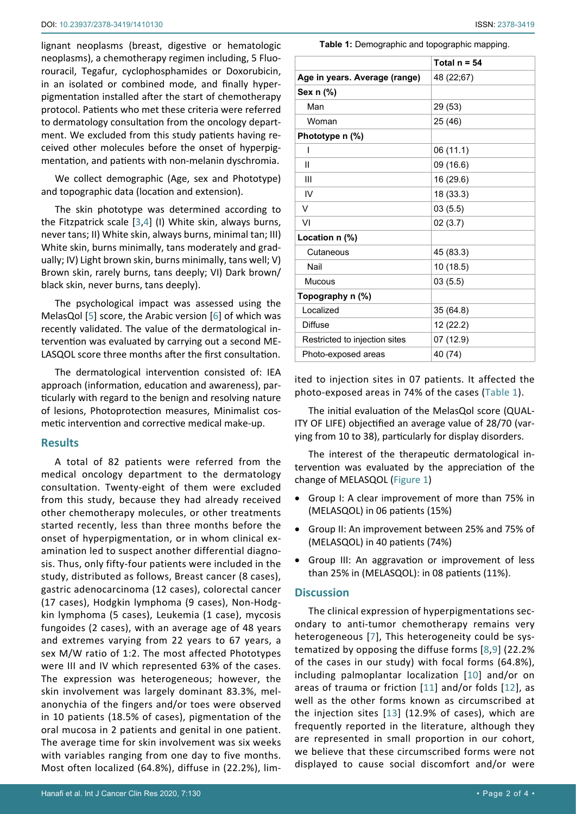lignant neoplasms (breast, digestive or hematologic neoplasms), a chemotherapy regimen including, 5 Fluorouracil, Tegafur, cyclophosphamides or Doxorubicin, in an isolated or combined mode, and finally hyperpigmentation installed after the start of chemotherapy protocol. Patients who met these criteria were referred to dermatology consultation from the oncology department. We excluded from this study patients having received other molecules before the onset of hyperpigmentation, and patients with non-melanin dyschromia.

We collect demographic (Age, sex and Phototype) and topographic data (location and extension).

The skin phototype was determined according to the Fitzpatrick scale [\[3](#page-3-7)[,4\]](#page-3-8) (I) White skin, always burns, never tans; II) White skin, always burns, minimal tan; III) White skin, burns minimally, tans moderately and gradually; IV) Light brown skin, burns minimally, tans well; V) Brown skin, rarely burns, tans deeply; VI) Dark brown/ black skin, never burns, tans deeply).

The psychological impact was assessed using the MelasQol [\[5\]](#page-3-9) score, the Arabic version [\[6\]](#page-3-10) of which was recently validated. The value of the dermatological intervention was evaluated by carrying out a second ME-LASQOL score three months after the first consultation.

The dermatological intervention consisted of: IEA approach (information, education and awareness), particularly with regard to the benign and resolving nature of lesions, Photoprotection measures, Minimalist cosmetic intervention and corrective medical make-up.

# **Results**

A total of 82 patients were referred from the medical oncology department to the dermatology consultation. Twenty-eight of them were excluded from this study, because they had already received other chemotherapy molecules, or other treatments started recently, less than three months before the onset of hyperpigmentation, or in whom clinical examination led to suspect another differential diagnosis. Thus, only fifty-four patients were included in the study, distributed as follows, Breast cancer (8 cases), gastric adenocarcinoma (12 cases), colorectal cancer (17 cases), Hodgkin lymphoma (9 cases), Non-Hodgkin lymphoma (5 cases), Leukemia (1 case), mycosis fungoides (2 cases), with an average age of 48 years and extremes varying from 22 years to 67 years, a sex M/W ratio of 1:2. The most affected Phototypes were III and IV which represented 63% of the cases. The expression was heterogeneous; however, the skin involvement was largely dominant 83.3%, melanonychia of the fingers and/or toes were observed in 10 patients (18.5% of cases), pigmentation of the oral mucosa in 2 patients and genital in one patient. The average time for skin involvement was six weeks with variables ranging from one day to five months. Most often localized (64.8%), diffuse in (22.2%), lim<span id="page-1-0"></span>**Table 1:** Demographic and topographic mapping.

|                               | Total $n = 54$ |
|-------------------------------|----------------|
| Age in years. Average (range) | 48 (22;67)     |
| Sex n (%)                     |                |
| Man                           | 29 (53)        |
| Woman                         | 25 (46)        |
| Phototype n (%)               |                |
| I                             | 06 (11.1)      |
| Ш                             | 09 (16.6)      |
| Ш                             | 16 (29.6)      |
| IV                            | 18 (33.3)      |
| V                             | 03(5.5)        |
| VI                            | 02(3.7)        |
| Location n (%)                |                |
| Cutaneous                     | 45 (83.3)      |
| Nail                          | 10 (18.5)      |
| Mucous                        | 03(5.5)        |
| Topography n (%)              |                |
| Localized                     | 35 (64.8)      |
| <b>Diffuse</b>                | 12 (22.2)      |
| Restricted to injection sites | 07 (12.9)      |
| Photo-exposed areas           | 40 (74)        |

ited to injection sites in 07 patients. It affected the photo-exposed areas in 74% of the cases ([Table 1\)](#page-1-0).

The initial evaluation of the MelasQol score (QUAL-ITY OF LIFE) objectified an average value of 28/70 (varying from 10 to 38), particularly for display disorders.

The interest of the therapeutic dermatological intervention was evaluated by the appreciation of the change of MELASQOL ([Figure 1\)](#page-2-2)

- Group I: A clear improvement of more than 75% in (MELASQOL) in 06 patients (15%)
- • Group II: An improvement between 25% and 75% of (MELASQOL) in 40 patients (74%)
- Group III: An aggravation or improvement of less than 25% in (MELASQOL): in 08 patients (11%).

# **Discussion**

The clinical expression of hyperpigmentations secondary to anti-tumor chemotherapy remains very heterogeneous [[7](#page-3-0)], This heterogeneity could be systematized by opposing the diffuse forms [[8,](#page-3-1)[9\]](#page-3-2) (22.2% of the cases in our study) with focal forms (64.8%), including palmoplantar localization [[10\]](#page-3-3) and/or on areas of trauma or friction [[11](#page-3-4)] and/or folds [\[12](#page-3-5)], as well as the other forms known as circumscribed at the injection sites [\[13](#page-3-6)] (12.9% of cases), which are frequently reported in the literature, although they are represented in small proportion in our cohort, we believe that these circumscribed forms were not displayed to cause social discomfort and/or were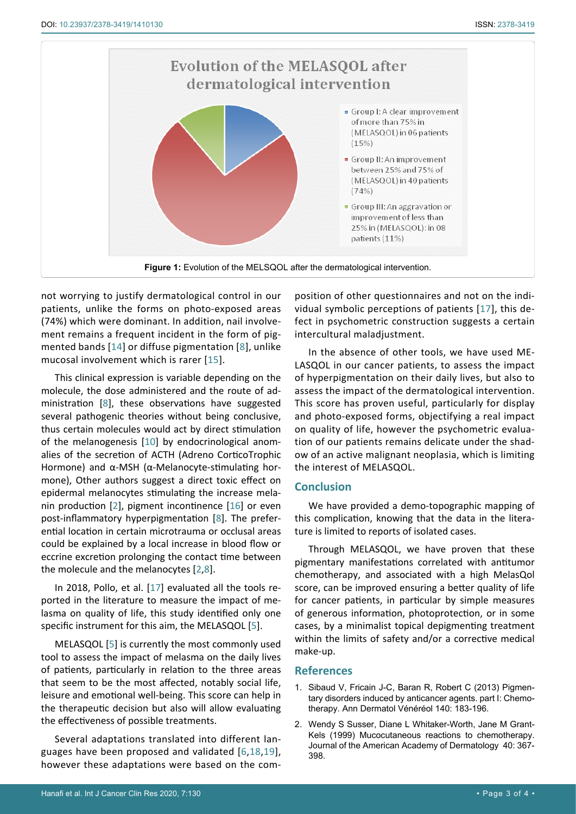<span id="page-2-2"></span>

not worrying to justify dermatological control in our patients, unlike the forms on photo-exposed areas (74%) which were dominant. In addition, nail involvement remains a frequent incident in the form of pigmented bands [[14\]](#page-3-12) or diffuse pigmentation [[8\]](#page-3-1), unlike mucosal involvement which is rarer [[15](#page-3-13)].

This clinical expression is variable depending on the molecule, the dose administered and the route of administration [\[8\]](#page-3-1), these observations have suggested several pathogenic theories without being conclusive, thus certain molecules would act by direct stimulation of the melanogenesis [[10\]](#page-3-3) by endocrinological anomalies of the secretion of ACTH (Adreno CorticoTrophic Hormone) and α-MSH (α-Melanocyte-stimulating hormone), Other authors suggest a direct toxic effect on epidermal melanocytes stimulating the increase melanin production [[2](#page-2-1)], pigment incontinence [\[16\]](#page-3-14) or even post-inflammatory hyperpigmentation [\[8\]](#page-3-1). The preferential location in certain microtrauma or occlusal areas could be explained by a local increase in blood flow or eccrine excretion prolonging the contact time between the molecule and the melanocytes [[2](#page-2-1)[,8\]](#page-3-1).

In 2018, Pollo, et al. [\[17](#page-3-11)] evaluated all the tools reported in the literature to measure the impact of melasma on quality of life, this study identified only one specific instrument for this aim, the MELASQOL [[5](#page-3-9)].

MELASQOL [[5](#page-3-9)] is currently the most commonly used tool to assess the impact of melasma on the daily lives of patients, particularly in relation to the three areas that seem to be the most affected, notably social life, leisure and emotional well-being. This score can help in the therapeutic decision but also will allow evaluating the effectiveness of possible treatments.

Several adaptations translated into different languages have been proposed and validated [\[6](#page-3-10),[18,](#page-3-15)[19](#page-3-16)], however these adaptations were based on the com-

position of other questionnaires and not on the individual symbolic perceptions of patients [[17\]](#page-3-11), this defect in psychometric construction suggests a certain intercultural maladjustment.

In the absence of other tools, we have used ME-LASQOL in our cancer patients, to assess the impact of hyperpigmentation on their daily lives, but also to assess the impact of the dermatological intervention. This score has proven useful, particularly for display and photo-exposed forms, objectifying a real impact on quality of life, however the psychometric evaluation of our patients remains delicate under the shadow of an active malignant neoplasia, which is limiting the interest of MELASQOL.

## **Conclusion**

We have provided a demo-topographic mapping of this complication, knowing that the data in the literature is limited to reports of isolated cases.

Through MELASQOL, we have proven that these pigmentary manifestations correlated with antitumor chemotherapy, and associated with a high MelasQol score, can be improved ensuring a better quality of life for cancer patients, in particular by simple measures of generous information, photoprotection, or in some cases, by a minimalist topical depigmenting treatment within the limits of safety and/or a corrective medical make-up.

## **References**

- <span id="page-2-0"></span>1. [Sibaud V, Fricain J-C, Baran R, Robert C \(2013\) Pigmen](https://www.ncbi.nlm.nih.gov/pubmed/23466151)[tary disorders induced by anticancer agents. part I: Chemo](https://www.ncbi.nlm.nih.gov/pubmed/23466151)[therapy. Ann Dermatol Vénéréol 140: 183-196.](https://www.ncbi.nlm.nih.gov/pubmed/23466151)
- <span id="page-2-1"></span>2. [Wendy S Susser, Diane L Whitaker-Worth, Jane M Grant-](https://www.ncbi.nlm.nih.gov/pubmed/10071309)[Kels \(1999\) Mucocutaneous reactions to chemotherapy.](https://www.ncbi.nlm.nih.gov/pubmed/10071309)  [Journal of the American Academy of Dermatology 40: 367-](https://www.ncbi.nlm.nih.gov/pubmed/10071309) [398.](https://www.ncbi.nlm.nih.gov/pubmed/10071309)